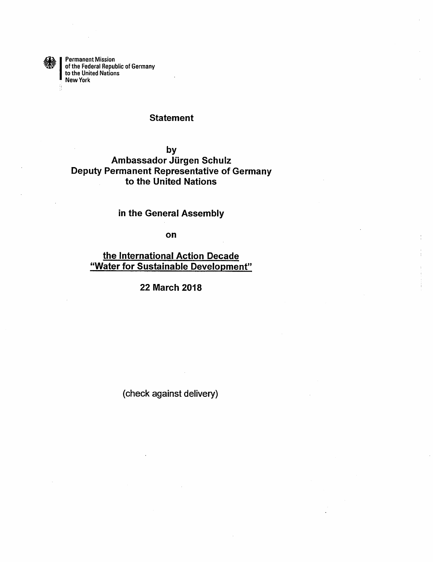

Permanent Mission of the Federal Republic of Germany to the United Nations New York

## **Statement**

## by Ambassador Jürgen Schulz Deputy Permanent Representative of Germany to the United Nations

## in the Generai Assembly

on

the International Action Decade 'Water for Sustainable Development'

22 March 2018

(check against delivery)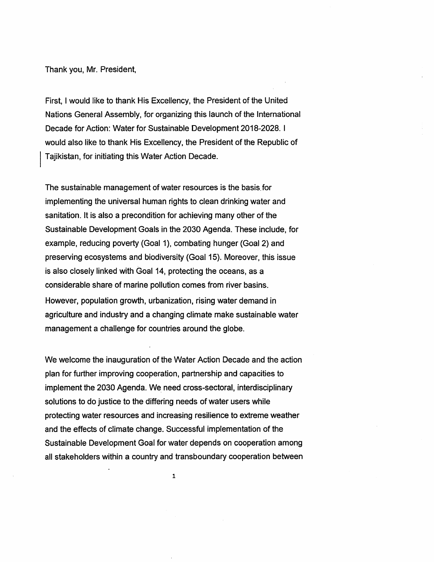Thank you, Mr. President,

First, I would like to thank His Excellency, the President of the United Nations General Assembly, for organizing this launch of the International Decade for Action: Water for Sustainable Development 2018-2028.1 would also like to thank His Excellency, the President of the Republic of Tajikistan, for initiating this Water Action Decade.

The sustainable management of water resources is the basis.for implementing the universal human rights to clean drinking water and sanitation. It is also a precondition for achieving many other of the Sustainable Development Goals in the 2030 Agenda. These include, for example, reducing poverty (Goal 1), combating hunger (Goal 2) and preserving ecosystems and biodiversity (Goal 15). Moreover, this issue is also closely linked with Goal 14, protecting the oceans, as a considerable share of marine pollution comes from river basins. However, population growth, urbanization, rising water demand in agriculture and industry and a changing climate make sustainable water management a challenge for countries around the globe.

We welcome the inauguration of the Water Action Decade and the action plan for further improving cooperation, partnership and capacities to implement the 2030 Agenda. We need cross-sectoral, interdisciplinary solutions to do justice to the differing needs of water users while protecting water resources and increasing resilience to extreme weather and the effects of climate change. Successful implementation of the Sustainable Development Goal for water depends on cooperation among all stakeholders within a country and transboundary cooperation between

 $\mathbf{1}$